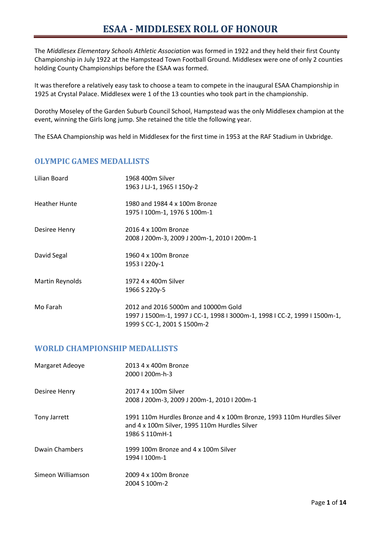The *Middlesex Elementary Schools Athletic Association* was formed in 1922 and they held their first County Championship in July 1922 at the Hampstead Town Football Ground. Middlesex were one of only 2 counties holding County Championships before the ESAA was formed.

It was therefore a relatively easy task to choose a team to compete in the inaugural ESAA Championship in 1925 at Crystal Palace. Middlesex were 1 of the 13 counties who took part in the championship.

Dorothy Moseley of the Garden Suburb Council School, Hampstead was the only Middlesex champion at the event, winning the Girls long jump. She retained the title the following year.

The ESAA Championship was held in Middlesex for the first time in 1953 at the RAF Stadium in Uxbridge.

## **OLYMPIC GAMES MEDALLISTS**

| Lilian Board         | 1968 400m Silver                                                          |
|----------------------|---------------------------------------------------------------------------|
|                      | 1963 J LJ-1, 1965 I 150y-2                                                |
| <b>Heather Hunte</b> | 1980 and 1984 4 x 100m Bronze                                             |
|                      | 1975   100m-1, 1976 S 100m-1                                              |
| Desiree Henry        | 2016 4 x 100m Bronze                                                      |
|                      | 2008 J 200m-3, 2009 J 200m-1, 2010 I 200m-1                               |
| David Segal          | 1960 4 x 100m Bronze                                                      |
|                      | 1953   220y-1                                                             |
| Martin Reynolds      | 1972 4 x 400m Silver                                                      |
|                      | 1966 S 220y-5                                                             |
| Mo Farah             | 2012 and 2016 5000m and 10000m Gold                                       |
|                      | 1997 J 1500m-1, 1997 J CC-1, 1998 I 3000m-1, 1998 I CC-2, 1999 I 1500m-1, |
|                      | 1999 S CC-1, 2001 S 1500m-2                                               |

#### **WORLD CHAMPIONSHIP MEDALLISTS**

| Margaret Adeoye   | 2013 4 x 400m Bronze<br>2000   200 m-h-3                                                                                                  |
|-------------------|-------------------------------------------------------------------------------------------------------------------------------------------|
| Desiree Henry     | 2017 4 x 100m Silver<br>2008 J 200m-3, 2009 J 200m-1, 2010 I 200m-1                                                                       |
| Tony Jarrett      | 1991 110m Hurdles Bronze and 4 x 100m Bronze, 1993 110m Hurdles Silver<br>and 4 x 100m Silver, 1995 110m Hurdles Silver<br>1986 S 110mH-1 |
| Dwain Chambers    | 1999 100m Bronze and 4 x 100m Silver<br>1994   100 m-1                                                                                    |
| Simeon Williamson | 2009 4 x 100m Bronze<br>2004 S 100m-2                                                                                                     |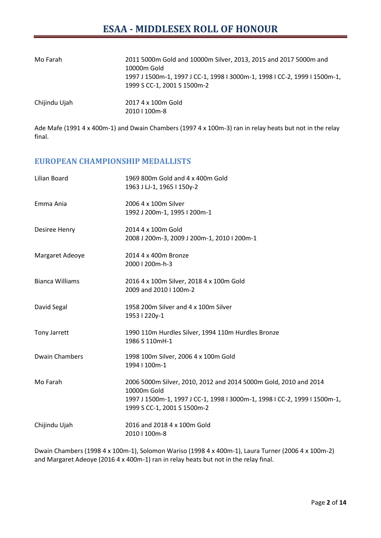| Mo Farah      | 2011 5000m Gold and 10000m Silver, 2013, 2015 and 2017 5000m and<br>10000m Gold<br>1997 J 1500m-1, 1997 J CC-1, 1998 I 3000m-1, 1998 I CC-2, 1999 I 1500m-1,<br>1999 S CC-1, 2001 S 1500m-2 |
|---------------|---------------------------------------------------------------------------------------------------------------------------------------------------------------------------------------------|
| Chijindu Ujah | 2017 4 x 100m Gold<br>2010   100 m-8                                                                                                                                                        |

Ade Mafe (1991 4 x 400m-1) and Dwain Chambers (1997 4 x 100m-3) ran in relay heats but not in the relay final.

### **EUROPEAN CHAMPIONSHIP MEDALLISTS**

| Lilian Board           | 1969 800m Gold and 4 x 400m Gold<br>1963 J LJ-1, 1965 I 150y-2                                                                                                                              |
|------------------------|---------------------------------------------------------------------------------------------------------------------------------------------------------------------------------------------|
| Emma Ania              | 2006 4 x 100m Silver<br>1992 J 200m-1, 1995 I 200m-1                                                                                                                                        |
| Desiree Henry          | 2014 4 x 100m Gold<br>2008 J 200m-3, 2009 J 200m-1, 2010 I 200m-1                                                                                                                           |
| Margaret Adeoye        | 2014 4 x 400m Bronze<br>2000   200m-h-3                                                                                                                                                     |
| <b>Bianca Williams</b> | 2016 4 x 100m Silver, 2018 4 x 100m Gold<br>2009 and 2010   100m-2                                                                                                                          |
| David Segal            | 1958 200m Silver and 4 x 100m Silver<br>1953   220y-1                                                                                                                                       |
| <b>Tony Jarrett</b>    | 1990 110m Hurdles Silver, 1994 110m Hurdles Bronze<br>1986 S 110mH-1                                                                                                                        |
| <b>Dwain Chambers</b>  | 1998 100m Silver, 2006 4 x 100m Gold<br>1994   100m-1                                                                                                                                       |
| Mo Farah               | 2006 5000m Silver, 2010, 2012 and 2014 5000m Gold, 2010 and 2014<br>10000m Gold<br>1997 J 1500m-1, 1997 J CC-1, 1998 I 3000m-1, 1998 I CC-2, 1999 I 1500m-1,<br>1999 S CC-1, 2001 S 1500m-2 |
| Chijindu Ujah          | 2016 and 2018 4 x 100m Gold<br>2010   100m-8                                                                                                                                                |

Dwain Chambers (1998 4 x 100m-1), Solomon Wariso (1998 4 x 400m-1), Laura Turner (2006 4 x 100m-2) and Margaret Adeoye (2016 4 x 400m-1) ran in relay heats but not in the relay final.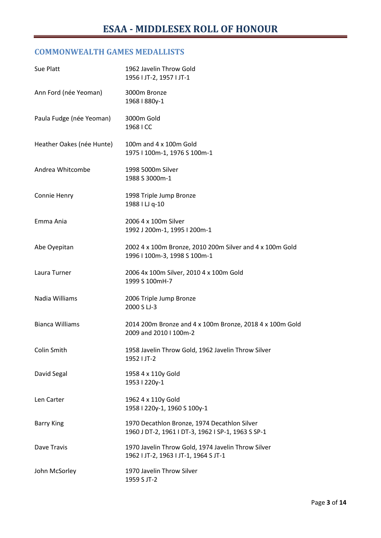## **COMMONWEALTH GAMES MEDALLISTS**

| Sue Platt                 | 1962 Javelin Throw Gold<br>1956   JT-2, 1957   JT-1                                                |
|---------------------------|----------------------------------------------------------------------------------------------------|
| Ann Ford (née Yeoman)     | 3000m Bronze<br>1968   880y-1                                                                      |
| Paula Fudge (née Yeoman)  | 3000m Gold<br>1968 I CC                                                                            |
| Heather Oakes (née Hunte) | 100m and 4 x 100m Gold<br>1975   100m-1, 1976 S 100m-1                                             |
| Andrea Whitcombe          | 1998 5000m Silver<br>1988 S 3000m-1                                                                |
| Connie Henry              | 1998 Triple Jump Bronze<br>1988 I LJ q-10                                                          |
| Emma Ania                 | 2006 4 x 100m Silver<br>1992 J 200m-1, 1995 I 200m-1                                               |
| Abe Oyepitan              | 2002 4 x 100m Bronze, 2010 200m Silver and 4 x 100m Gold<br>1996   100m-3, 1998 S 100m-1           |
| Laura Turner              | 2006 4x 100m Silver, 2010 4 x 100m Gold<br>1999 S 100mH-7                                          |
| Nadia Williams            | 2006 Triple Jump Bronze<br>2000 S LJ-3                                                             |
| <b>Bianca Williams</b>    | 2014 200m Bronze and 4 x 100m Bronze, 2018 4 x 100m Gold<br>2009 and 2010   100m-2                 |
| Colin Smith               | 1958 Javelin Throw Gold, 1962 Javelin Throw Silver<br>1952   JT-2                                  |
| David Segal               | 1958 4 x 110y Gold<br>1953   220y-1                                                                |
| Len Carter                | 1962 4 x 110y Gold<br>1958   220y-1, 1960 S 100y-1                                                 |
| <b>Barry King</b>         | 1970 Decathlon Bronze, 1974 Decathlon Silver<br>1960 J DT-2, 1961 I DT-3, 1962 I SP-1, 1963 S SP-1 |
| Dave Travis               | 1970 Javelin Throw Gold, 1974 Javelin Throw Silver<br>1962   JT-2, 1963   JT-1, 1964 S JT-1        |
| John McSorley             | 1970 Javelin Throw Silver<br>1959 S JT-2                                                           |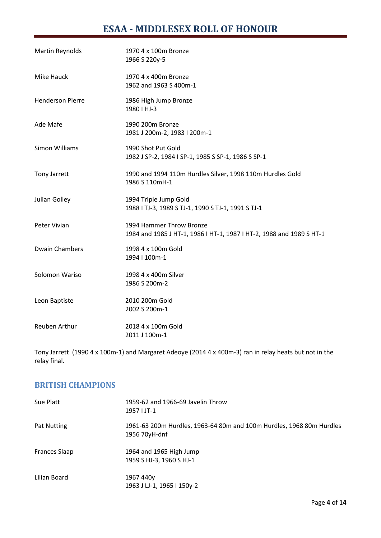# **ESAA - MIDDLESEX ROLL OF HONOUR**

| Martin Reynolds         | 1970 4 x 100m Bronze<br>1966 S 220y-5                                                            |
|-------------------------|--------------------------------------------------------------------------------------------------|
| Mike Hauck              | 1970 4 x 400m Bronze<br>1962 and 1963 S 400m-1                                                   |
| <b>Henderson Pierre</b> | 1986 High Jump Bronze<br>1980   HJ-3                                                             |
| Ade Mafe                | 1990 200m Bronze<br>1981 J 200m-2, 1983 I 200m-1                                                 |
| <b>Simon Williams</b>   | 1990 Shot Put Gold<br>1982 J SP-2, 1984 I SP-1, 1985 S SP-1, 1986 S SP-1                         |
| Tony Jarrett            | 1990 and 1994 110m Hurdles Silver, 1998 110m Hurdles Gold<br>1986 S 110mH-1                      |
| Julian Golley           | 1994 Triple Jump Gold<br>1988   TJ-3, 1989 S TJ-1, 1990 S TJ-1, 1991 S TJ-1                      |
| Peter Vivian            | 1994 Hammer Throw Bronze<br>1984 and 1985 J HT-1, 1986 I HT-1, 1987 I HT-2, 1988 and 1989 S HT-1 |
| <b>Dwain Chambers</b>   | 1998 4 x 100m Gold<br>1994   100m-1                                                              |
| Solomon Wariso          | 1998 4 x 400m Silver<br>1986 S 200m-2                                                            |
| Leon Baptiste           | 2010 200m Gold<br>2002 S 200m-1                                                                  |
| Reuben Arthur           | 2018 4 x 100m Gold<br>2011 J 100m-1                                                              |

Tony Jarrett (1990 4 x 100m-1) and Margaret Adeoye (2014 4 x 400m-3) ran in relay heats but not in the relay final.

### **BRITISH CHAMPIONS**

| Sue Platt     | 1959-62 and 1966-69 Javelin Throw<br>1957   JT-1                                      |
|---------------|---------------------------------------------------------------------------------------|
| Pat Nutting   | 1961-63 200m Hurdles, 1963-64 80m and 100m Hurdles, 1968 80m Hurdles<br>1956 70yH-dnf |
| Frances Slaap | 1964 and 1965 High Jump<br>1959 S HJ-3, 1960 S HJ-1                                   |
| Lilian Board  | 1967 440y<br>1963 J LJ-1, 1965 I 150y-2                                               |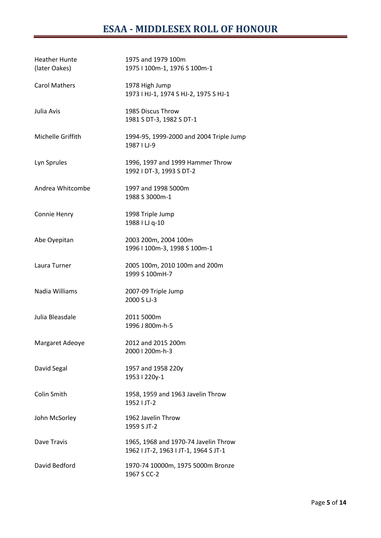| <b>Heather Hunte</b><br>(later Oakes) | 1975 and 1979 100m<br>1975   100m-1, 1976 S 100m-1                            |
|---------------------------------------|-------------------------------------------------------------------------------|
| <b>Carol Mathers</b>                  | 1978 High Jump<br>1973   HJ-1, 1974 S HJ-2, 1975 S HJ-1                       |
| Julia Avis                            | 1985 Discus Throw<br>1981 S DT-3, 1982 S DT-1                                 |
| Michelle Griffith                     | 1994-95, 1999-2000 and 2004 Triple Jump<br>1987   LJ-9                        |
| Lyn Sprules                           | 1996, 1997 and 1999 Hammer Throw<br>1992   DT-3, 1993 S DT-2                  |
| Andrea Whitcombe                      | 1997 and 1998 5000m<br>1988 S 3000m-1                                         |
| Connie Henry                          | 1998 Triple Jump<br>1988 I LJ q-10                                            |
| Abe Oyepitan                          | 2003 200m, 2004 100m<br>1996   100m-3, 1998 S 100m-1                          |
| Laura Turner                          | 2005 100m, 2010 100m and 200m<br>1999 S 100mH-7                               |
| Nadia Williams                        | 2007-09 Triple Jump<br>2000 S LJ-3                                            |
| Julia Bleasdale                       | 2011 5000m<br>1996 J 800m-h-5                                                 |
| Margaret Adeoye                       | 2012 and 2015 200m<br>2000   200m-h-3                                         |
| David Segal                           | 1957 and 1958 220y<br>1953   220y-1                                           |
| Colin Smith                           | 1958, 1959 and 1963 Javelin Throw<br>1952   JT-2                              |
| John McSorley                         | 1962 Javelin Throw<br>1959 S JT-2                                             |
| Dave Travis                           | 1965, 1968 and 1970-74 Javelin Throw<br>1962   JT-2, 1963   JT-1, 1964 S JT-1 |
| David Bedford                         | 1970-74 10000m, 1975 5000m Bronze<br>1967 S CC-2                              |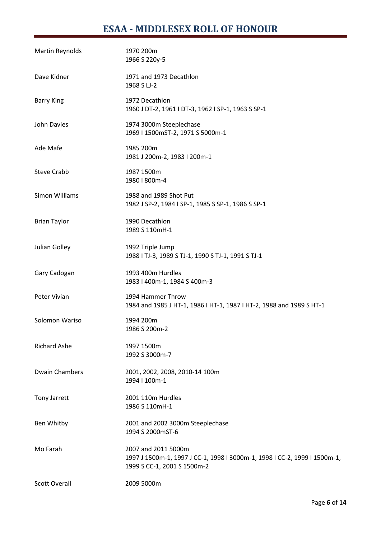# **ESAA - MIDDLESEX ROLL OF HONOUR**

| Martin Reynolds       | 1970 200m<br>1966 S 220y-5                                                                                                      |
|-----------------------|---------------------------------------------------------------------------------------------------------------------------------|
| Dave Kidner           | 1971 and 1973 Decathlon<br>1968 S LJ-2                                                                                          |
| <b>Barry King</b>     | 1972 Decathlon<br>1960 J DT-2, 1961 I DT-3, 1962 I SP-1, 1963 S SP-1                                                            |
| John Davies           | 1974 3000m Steeplechase<br>1969   1500mST-2, 1971 S 5000m-1                                                                     |
| Ade Mafe              | 1985 200m<br>1981 J 200m-2, 1983 I 200m-1                                                                                       |
| <b>Steve Crabb</b>    | 1987 1500m<br>1980   800m-4                                                                                                     |
| Simon Williams        | 1988 and 1989 Shot Put<br>1982 J SP-2, 1984 I SP-1, 1985 S SP-1, 1986 S SP-1                                                    |
| <b>Brian Taylor</b>   | 1990 Decathlon<br>1989 S 110mH-1                                                                                                |
| Julian Golley         | 1992 Triple Jump<br>1988   TJ-3, 1989 S TJ-1, 1990 S TJ-1, 1991 S TJ-1                                                          |
| Gary Cadogan          | 1993 400m Hurdles<br>1983   400m-1, 1984 S 400m-3                                                                               |
| Peter Vivian          | 1994 Hammer Throw<br>1984 and 1985 J HT-1, 1986 I HT-1, 1987 I HT-2, 1988 and 1989 S HT-1                                       |
| Solomon Wariso        | 1994 200m<br>1986 S 200m-2                                                                                                      |
| <b>Richard Ashe</b>   | 1997 1500m<br>1992 S 3000m-7                                                                                                    |
| <b>Dwain Chambers</b> | 2001, 2002, 2008, 2010-14 100m<br>1994   100m-1                                                                                 |
| <b>Tony Jarrett</b>   | 2001 110m Hurdles<br>1986 S 110mH-1                                                                                             |
| Ben Whitby            | 2001 and 2002 3000m Steeplechase<br>1994 S 2000mST-6                                                                            |
| Mo Farah              | 2007 and 2011 5000m<br>1997 J 1500m-1, 1997 J CC-1, 1998 I 3000m-1, 1998 I CC-2, 1999 I 1500m-1,<br>1999 S CC-1, 2001 S 1500m-2 |
| <b>Scott Overall</b>  | 2009 5000m                                                                                                                      |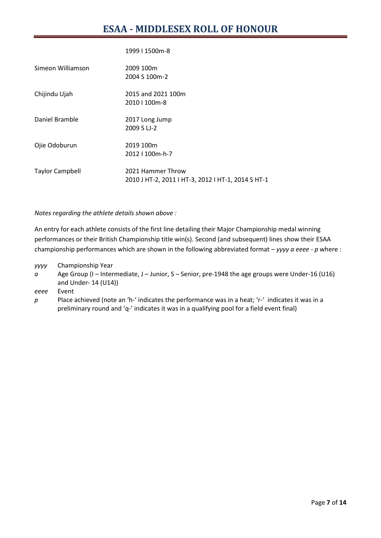|  | 1999   1500m-8 |  |
|--|----------------|--|
|  |                |  |

| Simeon Williamson      | 2009 100m<br>2004 S 100m-2                                              |
|------------------------|-------------------------------------------------------------------------|
| Chijindu Ujah          | 2015 and 2021 100m<br>2010   100m-8                                     |
| Daniel Bramble         | 2017 Long Jump<br>2009 S LJ-2                                           |
| Ojie Odoburun          | 2019 100m<br>2012   100m-h-7                                            |
| <b>Taylor Campbell</b> | 2021 Hammer Throw<br>2010 J HT-2, 2011 I HT-3, 2012 I HT-1, 2014 S HT-1 |

*Notes regarding the athlete details shown above :*

An entry for each athlete consists of the first line detailing their Major Championship medal winning performances or their British Championship title win(s). Second (and subsequent) lines show their ESAA championship performances which are shown in the following abbreviated format – *yyyy a eeee - p* where :

- *yyyy* Championship Year
- *a* Age Group (I Intermediate, J Junior, S Senior, pre-1948 the age groups were Under-16 (U16) and Under- 14 (U14))

*eeee* Event

*p* Place achieved (note an 'h-' indicates the performance was in a heat; 'r-' indicates it was in a preliminary round and 'q-' indicates it was in a qualifying pool for a field event final)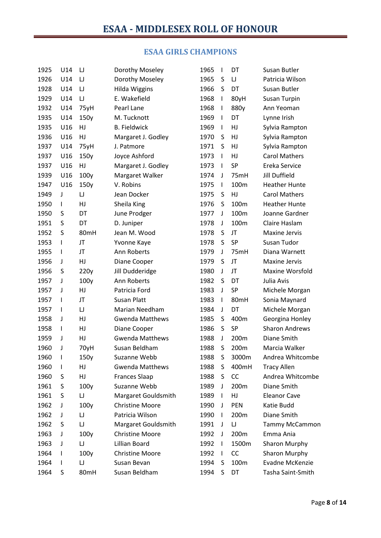## **ESAA GIRLS CHAMPIONS**

| 1925 | U14          | IJ   | Dorothy Moseley        | 1965 | $\mathbf{I}$ | DT    | Susan Butler          |
|------|--------------|------|------------------------|------|--------------|-------|-----------------------|
| 1926 | U14          | IJ   | Dorothy Moseley        | 1965 | S            | IJ    | Patricia Wilson       |
| 1928 | U14          | IJ   | <b>Hilda Wiggins</b>   | 1966 | S            | DT    | Susan Butler          |
| 1929 | U14          | IJ   | E. Wakefield           | 1968 | T            | 80yH  | <b>Susan Turpin</b>   |
| 1932 | U14          | 75yH | Pearl Lane             | 1968 | $\mathbf{I}$ | 880y  | Ann Yeoman            |
| 1935 | U14          | 150y | M. Tucknott            | 1969 | $\mathbf{I}$ | DT    | Lynne Irish           |
| 1935 | U16          | HJ   | <b>B.</b> Fieldwick    | 1969 | $\mathsf{I}$ | HJ    | Sylvia Rampton        |
| 1936 | U16          | HJ   | Margaret J. Godley     | 1970 | S            | HJ    | Sylvia Rampton        |
| 1937 | U14          | 75yH | J. Patmore             | 1971 | S            | HJ    | Sylvia Rampton        |
| 1937 | U16          | 150y | Joyce Ashford          | 1973 | $\mathsf{I}$ | HJ    | <b>Carol Mathers</b>  |
| 1937 | U16          | HJ   | Margaret J. Godley     | 1973 | $\mathbf{I}$ | SP    | Ereka Service         |
| 1939 | U16          | 100y | Margaret Walker        | 1974 | J            | 75mH  | <b>Jill Duffield</b>  |
| 1947 | U16          | 150y | V. Robins              | 1975 | $\mathbf{I}$ | 100m  | <b>Heather Hunte</b>  |
| 1949 | J            | IJ   | Jean Docker            | 1975 | S            | HJ    | <b>Carol Mathers</b>  |
| 1950 | I            | HJ   | Sheila King            | 1976 | S            | 100m  | <b>Heather Hunte</b>  |
| 1950 | S            | DT   | June Prodger           | 1977 | J            | 100m  | Joanne Gardner        |
| 1951 | S            | DT   | D. Juniper             | 1978 | J            | 100m  | Claire Haslam         |
| 1952 | S            | 80mH | Jean M. Wood           | 1978 | S            | JT    | Maxine Jervis         |
| 1953 | I            | JT   | Yvonne Kaye            | 1978 | S            | SP    | Susan Tudor           |
| 1955 | I            | JT   | Ann Roberts            | 1979 | J            | 75mH  | Diana Warnett         |
| 1956 | J            | HJ   | Diane Cooper           | 1979 | S            | JT    | <b>Maxine Jervis</b>  |
| 1956 | S            | 220y | Jill Dudderidge        | 1980 | $\mathbf{J}$ | JT    | Maxine Worsfold       |
| 1957 | J            | 100y | Ann Roberts            | 1982 | S            | DT    | Julia Avis            |
| 1957 | J            | HJ   | Patricia Ford          | 1983 | J            | SP    | Michele Morgan        |
| 1957 | $\mathbf{I}$ | JT   | Susan Platt            | 1983 | $\mathbf{I}$ | 80mH  | Sonia Maynard         |
| 1957 | I            | IJ   | Marian Needham         | 1984 | J            | DT    | Michele Morgan        |
| 1958 | J            | HJ   | <b>Gwenda Matthews</b> | 1985 | S            | 400m  | Georgina Honley       |
| 1958 | I            | HJ   | Diane Cooper           | 1986 | S            | SP    | <b>Sharon Andrews</b> |
| 1959 | J            | HJ   | <b>Gwenda Matthews</b> | 1988 | J            | 200m  | Diane Smith           |
| 1960 | J            | 70yH | Susan Beldham          | 1988 | S            | 200m  | Marcia Walker         |
| 1960 | $\mathsf{l}$ | 150y | Suzanne Webb           | 1988 | S            | 3000m | Andrea Whitcombe      |
| 1960 | I.           | HJ   | <b>Gwenda Matthews</b> | 1988 | S            | 400mH | <b>Tracy Allen</b>    |
| 1960 | S            | HJ   | <b>Frances Slaap</b>   | 1988 | S            | CC    | Andrea Whitcombe      |
| 1961 | S            | 100y | Suzanne Webb           | 1989 | J            | 200m  | Diane Smith           |
| 1961 | S            | IJ   | Margaret Gouldsmith    | 1989 | $\mathbf{I}$ | HJ    | <b>Eleanor Cave</b>   |
| 1962 | J            | 100y | <b>Christine Moore</b> | 1990 | J            | PEN   | Katie Budd            |
| 1962 | J            | IJ   | Patricia Wilson        | 1990 | $\mathbf{I}$ | 200m  | Diane Smith           |
| 1962 | S            | IJ   | Margaret Gouldsmith    | 1991 | J            | IJ    | <b>Tammy McCammon</b> |
| 1963 | J            | 100y | <b>Christine Moore</b> | 1992 | J            | 200m  | Emma Ania             |
| 1963 | J            | IJ   | Lillian Board          | 1992 | $\mathbf{I}$ | 1500m | <b>Sharon Murphy</b>  |
| 1964 | I.           | 100y | <b>Christine Moore</b> | 1992 | $\mathbf{I}$ | CC    | Sharon Murphy         |
| 1964 | L            | IJ   | Susan Bevan            | 1994 | S            | 100m  | Evadne McKenzie       |
| 1964 | S            | 80mH | Susan Beldham          | 1994 | S            | DT    | Tasha Saint-Smith     |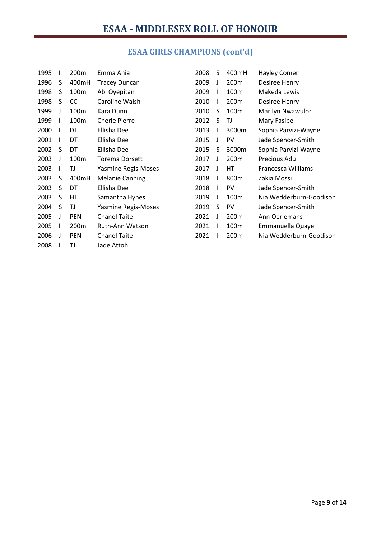# **ESAA GIRLS CHAMPIONS (cont'd)**

| 1995 |   | 200m       | Emma Ania              | 2008 | S            | 400mH            | <b>Hayley Comer</b>     |
|------|---|------------|------------------------|------|--------------|------------------|-------------------------|
| 1996 | S | 400mH      | <b>Tracey Duncan</b>   | 2009 | J            | 200 <sub>m</sub> | Desiree Henry           |
| 1998 | S | 100m       | Abi Oyepitan           | 2009 | $\mathbf{I}$ | 100 <sub>m</sub> | Makeda Lewis            |
| 1998 | S | CC         | Caroline Walsh         | 2010 | $\mathbf{I}$ | 200m             | Desiree Henry           |
| 1999 | J | 100m       | Kara Dunn              | 2010 | S            | 100m             | <b>Marilyn Nwawulor</b> |
| 1999 |   | 100m       | <b>Cherie Pierre</b>   | 2012 | S            | TJ               | Mary Fasipe             |
| 2000 |   | DT         | Ellisha Dee            | 2013 | L            | 3000m            | Sophia Parvizi-Wayne    |
| 2001 |   | DT         | Ellisha Dee            | 2015 | J            | <b>PV</b>        | Jade Spencer-Smith      |
| 2002 | S | DT         | Ellisha Dee            | 2015 | S            | 3000m            | Sophia Parvizi-Wayne    |
| 2003 | J | 100m       | <b>Torema Dorsett</b>  | 2017 | J            | 200m             | Precious Adu            |
| 2003 |   | TJ         | Yasmine Regis-Moses    | 2017 | $\mathbf{J}$ | HT               | Francesca Williams      |
| 2003 | S | 400mH      | <b>Melanie Canning</b> | 2018 | $\mathbf{J}$ | 800m             | Zakia Mossi             |
| 2003 | S | DT         | Ellisha Dee            | 2018 | L            | PV               | Jade Spencer-Smith      |
| 2003 | S | HТ         | Samantha Hynes         | 2019 | J            | 100m             | Nia Wedderburn-Goodison |
| 2004 | S | TJ         | Yasmine Regis-Moses    | 2019 | S            | <b>PV</b>        | Jade Spencer-Smith      |
| 2005 | J | <b>PEN</b> | <b>Chanel Taite</b>    | 2021 | J            | 200m             | Ann Oerlemans           |
| 2005 |   | 200m       | Ruth-Ann Watson        | 2021 | I.           | 100m             | Emmanuella Quaye        |
| 2006 | J | <b>PEN</b> | <b>Chanel Taite</b>    | 2021 |              | 200m             | Nia Wedderburn-Goodison |
| 2008 |   | TJ         | Jade Attoh             |      |              |                  |                         |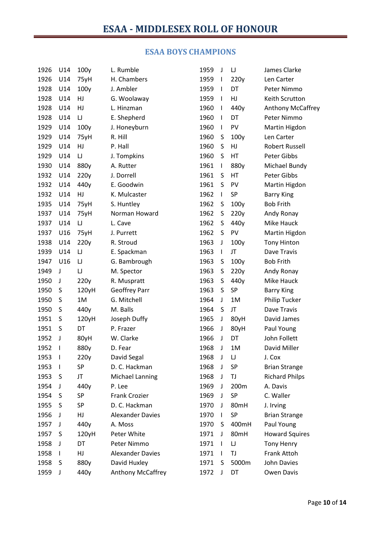## **ESAA BOYS CHAMPIONS**

| 1926 | U14                      | 100y  | L. Rumble               | 1959 | J            | $\sqcup$  | James Clarke             |
|------|--------------------------|-------|-------------------------|------|--------------|-----------|--------------------------|
| 1926 | U14                      | 75yH  | H. Chambers             | 1959 | T            | 220y      | Len Carter               |
| 1928 | U14                      | 100y  | J. Ambler               | 1959 | $\mathbf{I}$ | DT        | Peter Nimmo              |
| 1928 | U14                      | HJ    | G. Woolaway             | 1959 | T            | HJ        | Keith Scrutton           |
| 1928 | U14                      | HJ    | L. Hinzman              | 1960 | $\mathsf{I}$ | 440y      | <b>Anthony McCaffrey</b> |
| 1928 | U14                      | IJ    | E. Shepherd             | 1960 | T            | DT        | Peter Nimmo              |
| 1929 | U14                      | 100y  | J. Honeyburn            | 1960 | $\mathsf{I}$ | PV        | Martin Higdon            |
| 1929 | U14                      | 75yH  | R. Hill                 | 1960 | S            | 100y      | Len Carter               |
| 1929 | U14                      | HJ    | P. Hall                 | 1960 | S            | HJ        | <b>Robert Russell</b>    |
| 1929 | U14                      | IJ    | J. Tompkins             | 1960 | S            | HT        | Peter Gibbs              |
| 1930 | U14                      | 880y  | A. Rutter               | 1961 | $\mathbf{I}$ | 880y      | Michael Bundy            |
| 1932 | U14                      | 220y  | J. Dorrell              | 1961 | S            | HT        | Peter Gibbs              |
| 1932 | U14                      | 440y  | E. Goodwin              | 1961 | S            | PV        | Martin Higdon            |
| 1932 | U14                      | HJ    | K. Mulcaster            | 1962 | T            | <b>SP</b> | <b>Barry King</b>        |
| 1935 | U14                      | 75yH  | S. Huntley              | 1962 | S            | 100y      | <b>Bob Frith</b>         |
| 1937 | U14                      | 75yH  | Norman Howard           | 1962 | S            | 220y      | Andy Ronay               |
| 1937 | U14                      | IJ    | L. Cave                 | 1962 | S            | 440y      | Mike Hauck               |
| 1937 | U16                      | 75yH  | J. Purrett              | 1962 | S            | PV        | Martin Higdon            |
| 1938 | U14                      | 220y  | R. Stroud               | 1963 | J            | 100y      | <b>Tony Hinton</b>       |
| 1939 | U14                      | IJ    | E. Spackman             | 1963 | T            | JT        | Dave Travis              |
| 1947 | U16                      | IJ    | G. Bambrough            | 1963 | S            | 100y      | <b>Bob Frith</b>         |
| 1949 | J                        | IJ    | M. Spector              | 1963 | S            | 220y      | Andy Ronay               |
| 1950 | J                        | 220y  | R. Muspratt             | 1963 | S            | 440y      | Mike Hauck               |
| 1950 | S                        | 120yH | Geoffrey Parr           | 1963 | S            | <b>SP</b> | <b>Barry King</b>        |
| 1950 | S                        | 1M    | G. Mitchell             | 1964 | J            | 1M        | Philip Tucker            |
| 1950 | S                        | 440y  | M. Balls                | 1964 | S            | JT        | Dave Travis              |
| 1951 | S                        | 120yH | Joseph Duffy            | 1965 | J            | 80yH      | David James              |
| 1951 | S                        | DT    | P. Frazer               | 1966 | J            | 80yH      | Paul Young               |
| 1952 | J                        | 80yH  | W. Clarke               | 1966 | J            | DT        | John Follett             |
| 1952 | -1                       | 880y  | D. Fear                 | 1968 | J            | 1M        | David Miller             |
| 1953 | $\overline{\phantom{a}}$ | 220y  | David Segal             | 1968 | J            | IJ        | J. Cox                   |
| 1953 | $\mathbf{I}$             | SP    | D. C. Hackman           | 1968 | J            | <b>SP</b> | <b>Brian Strange</b>     |
| 1953 | S                        | JT    | Michael Lanning         | 1968 | J            | TJ        | <b>Richard Philps</b>    |
| 1954 | J                        | 440y  | P. Lee                  | 1969 | J            | 200m      | A. Davis                 |
| 1954 | S                        | SP    | Frank Crozier           | 1969 | J            | SP        | C. Waller                |
| 1955 | S                        | SP    | D. C. Hackman           | 1970 | J            | 80mH      | J. Irving                |
| 1956 | J                        | HJ    | <b>Alexander Davies</b> | 1970 | $\mathbf{I}$ | SP        | <b>Brian Strange</b>     |
| 1957 | J                        | 440y  | A. Moss                 | 1970 | S            | 400mH     | Paul Young               |
| 1957 | S                        | 120yH | Peter White             | 1971 | J            | 80mH      | <b>Howard Squires</b>    |
| 1958 | J                        | DT    | Peter Nimmo             | 1971 | I.           | $\sqcup$  | Tony Henry               |
| 1958 | $\mathbf{I}$             | HJ    | <b>Alexander Davies</b> | 1971 | J.           | TJ        | Frank Attoh              |
| 1958 | S                        | 880y  | David Huxley            | 1971 | S            | 5000m     | <b>John Davies</b>       |
| 1959 | J                        | 440y  | Anthony McCaffrey       | 1972 | J            | DT        | Owen Davis               |
|      |                          |       |                         |      |              |           |                          |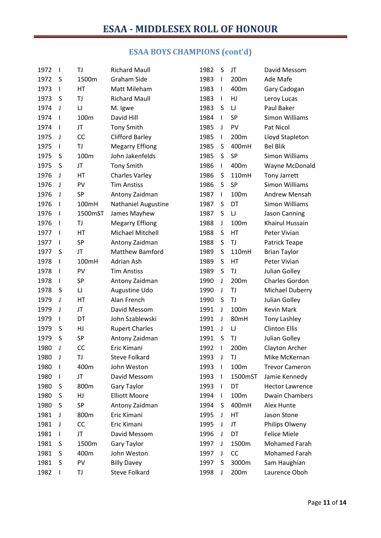# **ESAA BOYS CHAMPIONS (cont'd)**

| 1972 | $\mathbf{I}$             | TJ        | <b>Richard Maull</b>       | 1982 | S            | JT        | David Messom           |
|------|--------------------------|-----------|----------------------------|------|--------------|-----------|------------------------|
| 1972 | S                        | 1500m     | Graham Side                | 1983 | $\mathsf{I}$ | 200m      | Ade Mafe               |
| 1973 | $\mathbf{I}$             | HT        | Matt Mileham               | 1983 | T            | 400m      | Gary Cadogan           |
| 1973 | S                        | TJ        | <b>Richard Maull</b>       | 1983 | $\mathsf{I}$ | HJ        | Leroy Lucas            |
| 1974 | J                        | $\cup$    | M. Igwe                    | 1983 | S            | $\sqcup$  | Paul Baker             |
| 1974 | $\mathbf{I}$             | 100m      | David Hill                 | 1984 | $\mathsf{I}$ | <b>SP</b> | <b>Simon Williams</b>  |
| 1974 | $\mathbf{I}$             | JT        | <b>Tony Smith</b>          | 1985 | J            | PV        | Pat Nicol              |
| 1975 | J                        | CC        | <b>Clifford Barley</b>     | 1985 | I            | 200m      | Lloyd Stapleton        |
| 1975 | $\mathbf{I}$             | TJ        | <b>Megarry Effiong</b>     | 1985 | S            | 400mH     | <b>Bel Blik</b>        |
| 1975 | S                        | 100m      | John Jakenfelds            | 1985 | S            | <b>SP</b> | <b>Simon Williams</b>  |
| 1975 | S                        | JT        | <b>Tony Smith</b>          | 1986 | $\mathbf{I}$ | 400m      | Wayne McDonald         |
| 1976 | J                        | HT        | <b>Charles Varley</b>      | 1986 | S            | 110mH     | <b>Tony Jarrett</b>    |
| 1976 | J                        | PV        | <b>Tim Anstiss</b>         | 1986 | S            | SP        | <b>Simon Williams</b>  |
| 1976 | J                        | <b>SP</b> | Antony Zaidman             | 1987 | $\mathsf{I}$ | 100m      | <b>Andrew Mensah</b>   |
| 1976 | $\mathbf{I}$             | 100mH     | <b>Nathaniel Augustine</b> | 1987 | S            | DT        | <b>Simon Williams</b>  |
| 1976 | $\mathbf{I}$             | 1500mST   | James Mayhew               | 1987 | S            | IJ        | Jason Canning          |
| 1976 | $\mathbf{I}$             | TJ        | <b>Megarry Effiong</b>     | 1988 | J            | 100m      | Khairul Hussain        |
| 1977 | $\mathbf{I}$             | HT        | Michael Mitchell           | 1988 | S            | HT        | Peter Vivian           |
| 1977 | $\mathbf{I}$             | SP        | Antony Zaidman             | 1988 | S            | TJ        | Patrick Teape          |
| 1977 | S                        | JT        | <b>Matthew Bamford</b>     | 1989 | S            | 110mH     | <b>Brian Taylor</b>    |
| 1978 | $\mathbf{I}$             | 100mH     | Adrian Ash                 | 1989 | S            | HT        | Peter Vivian           |
| 1978 | $\mathbf{I}$             | PV        | <b>Tim Anstiss</b>         | 1989 | S            | TJ        | Julian Golley          |
| 1978 | $\mathbf{I}$             | SP        | Antony Zaidman             | 1990 | J            | 200m      | Charles Gordon         |
| 1978 | S                        | IJ        | Augustine Udo              | 1990 | J            | TJ        | Michael Duberry        |
| 1979 | J                        | HT        | Alan French                | 1990 | S            | TJ        | Julian Golley          |
| 1979 | J                        | JT        | David Messom               | 1991 | J            | 100m      | <b>Kevin Mark</b>      |
| 1979 | $\mathbf{I}$             | DT        | John Szablewski            | 1991 | J            | 80mH      | Tony Lashley           |
| 1979 | S                        | HJ        | <b>Rupert Charles</b>      | 1991 | J            | IJ        | <b>Clinton Ellis</b>   |
| 1979 | S                        | SP        | Antony Zaidman             | 1991 | S            | TJ        | Julian Golley          |
| 1980 | J                        | CC        | Eric Kimani                | 1992 | I            | 200m      | Clayton Archer         |
| 1980 | J                        | TJ        | <b>Steve Folkard</b>       | 1993 | J            | TJ        | Mike McKernan          |
| 1980 | I.                       | 400m      | John Weston                | 1993 | L            | 100m      | <b>Trevor Cameron</b>  |
| 1980 | J.                       | JT        | David Messom               | 1993 | I.           | 1500mST   | Jamie Kennedy          |
| 1980 | S                        | 800m      | <b>Gary Taylor</b>         | 1993 | I            | DT        | <b>Hector Lawrence</b> |
| 1980 | S                        | HJ        | <b>Elliott Moore</b>       | 1994 | $\mathbf{I}$ | 100m      | Dwain Chambers         |
| 1980 | S                        | SP        | Antony Zaidman             | 1994 | S            | 400mH     | Alex Hunte             |
| 1981 | J                        | 800m      | Eric Kimani                | 1995 | J            | HT        | Jason Stone            |
| 1981 | J                        | CC        | Eric Kimani                | 1995 | J            | JT        | Philips Olweny         |
| 1981 | $\mathbf{I}$             | JT        | David Messom               | 1996 | J            | DT        | <b>Felice Miele</b>    |
| 1981 | S                        | 1500m     | <b>Gary Taylor</b>         | 1997 | J            | 1500m     | <b>Mohamed Farah</b>   |
| 1981 | S                        | 400m      | John Weston                | 1997 | J            | CC        | <b>Mohamed Farah</b>   |
| 1981 | S                        | PV        | <b>Billy Davey</b>         | 1997 | S            | 3000m     | Sam Haughian           |
| 1982 | $\overline{\phantom{a}}$ | ΤJ        | Steve Folkard              | 1998 | J            | 200m      | Laurence Oboh          |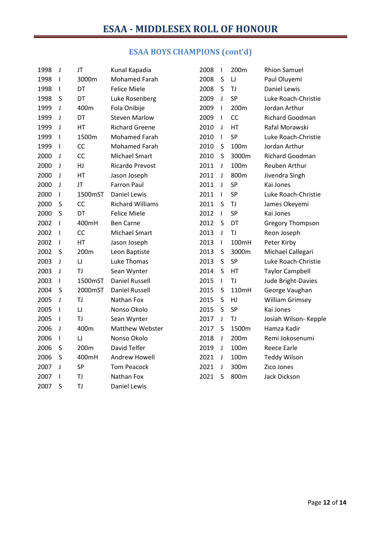# **ESAA BOYS CHAMPIONS (cont'd)**

| 1998 | $\mathsf J$  | JT        | Kunal Kapadia           | 2008 | $\mathbf{I}$ | 200 <sub>m</sub> | <b>Rhion Samuel</b>     |
|------|--------------|-----------|-------------------------|------|--------------|------------------|-------------------------|
| 1998 | $\mathsf{I}$ | 3000m     | <b>Mohamed Farah</b>    | 2008 | S            | IJ               | Paul Oluyemi            |
| 1998 | I            | DT        | <b>Felice Miele</b>     | 2008 | $\sf S$      | TJ               | Daniel Lewis            |
| 1998 | S            | DT        | Luke Rosenberg          | 2009 | J            | SP               | Luke Roach-Christie     |
| 1999 | J            | 400m      | Fola Onibije            | 2009 | $\mathbf{I}$ | 200m             | Jordan Arthur           |
| 1999 | J            | DT        | <b>Steven Marlow</b>    | 2009 | $\mathbf{I}$ | CC               | <b>Richard Goodman</b>  |
| 1999 | J            | HT        | <b>Richard Greene</b>   | 2010 | J            | HT               | Rafal Morawski          |
| 1999 | $\mathbf{I}$ | 1500m     | Mohamed Farah           | 2010 | $\mathsf{I}$ | SP               | Luke Roach-Christie     |
| 1999 | T            | CC        | <b>Mohamed Farah</b>    | 2010 | S            | 100m             | Jordan Arthur           |
| 2000 | J            | CC        | Michael Smart           | 2010 | S            | 3000m            | Richard Goodman         |
| 2000 | $\mathbf{J}$ | HJ        | Ricardo Prevost         | 2011 | J            | 100m             | Reuben Arthur           |
| 2000 | J            | HT        | Jason Joseph            | 2011 | J            | 800m             | Jivendra Singh          |
| 2000 | J            | JT        | <b>Farron Paul</b>      | 2011 | J            | SP               | Kai Jones               |
| 2000 | T            | 1500mST   | <b>Daniel Lewis</b>     | 2011 | T            | <b>SP</b>        | Luke Roach-Christie     |
| 2000 | S            | CC        | <b>Richard Williams</b> | 2011 | S            | TJ               | James Okeyemi           |
| 2000 | S            | DT        | <b>Felice Miele</b>     | 2012 | $\mathbf{I}$ | SP               | Kai Jones               |
| 2002 | T            | 400mH     | <b>Ben Carne</b>        | 2012 | S            | DT               | <b>Gregory Thompson</b> |
| 2002 | I            | CC        | Michael Smart           | 2013 | J            | TJ               | Reon Joseph             |
| 2002 | T            | HT        | Jason Joseph            | 2013 | $\mathbf{I}$ | 100mH            | Peter Kirby             |
| 2002 | S            | 200m      | Leon Baptiste           | 2013 | S            | 3000m            | Michael Callegari       |
| 2003 | J            | $\cup$    | Luke Thomas             | 2013 | S            | SP               | Luke Roach-Christie     |
| 2003 | J            | TJ        | Sean Wynter             | 2014 | S            | HT               | <b>Taylor Campbell</b>  |
| 2003 | L            | 1500mST   | <b>Daniel Russell</b>   | 2015 | $\mathbf{I}$ | TJ               | Jude Bright-Davies      |
| 2004 | S            | 2000mST   | <b>Daniel Russell</b>   | 2015 | S            | 110mH            | George Vaughan          |
| 2005 | J            | TJ        | Nathan Fox              | 2015 | S            | HJ               | <b>William Grimsey</b>  |
| 2005 | $\mathsf I$  | $\sqcup$  | Nonso Okolo             | 2015 | S            | SP               | Kai Jones               |
| 2005 | T            | TJ        | Sean Wynter             | 2017 | J            | TJ               | Josiah Wilson- Kepple   |
| 2006 | J            | 400m      | Matthew Webster         | 2017 | S            | 1500m            | Hamza Kadir             |
| 2006 | $\mathsf{I}$ | $\cup$    | Nonso Okolo             | 2018 | J            | 200m             | Remi Jokosenumi         |
| 2006 | S            | 200m      | David Telfer            | 2019 | $\mathsf J$  | 100m             | <b>Reece Earle</b>      |
| 2006 | S            | 400mH     | Andrew Howell           | 2021 | J            | 100m             | <b>Teddy Wilson</b>     |
| 2007 | J            | SP        | <b>Tom Peacock</b>      | 2021 | J            | 300m             | Zico Jones              |
| 2007 | T            | TJ        | Nathan Fox              | 2021 | S            | 800m             | Jack Dickson            |
| 2007 | S            | <b>TJ</b> | <b>Daniel Lewis</b>     |      |              |                  |                         |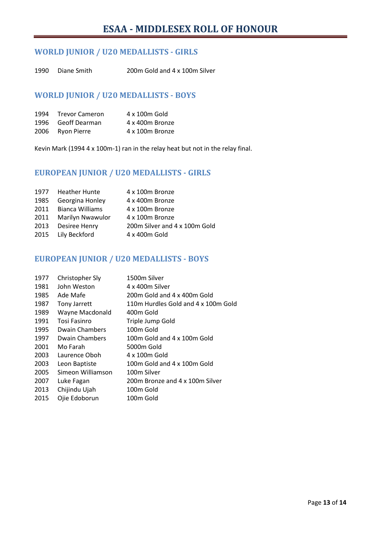## **WORLD JUNIOR / U20 MEDALLISTS - GIRLS**

Diane Smith 200m Gold and 4 x 100m Silver

### **WORLD JUNIOR / U20 MEDALLISTS - BOYS**

| 1994 Trevor Cameron | 4 x 100m Gold   |
|---------------------|-----------------|
| 1996 Geoff Dearman  | 4 x 400m Bronze |
| 2006 Ryon Pierre    | 4 x 100m Bronze |

Kevin Mark (1994 4 x 100m-1) ran in the relay heat but not in the relay final.

## **EUROPEAN JUNIOR / U20 MEDALLISTS - GIRLS**

| 1977 Heather Hunte<br>4 x 100m Bronze                  |  |
|--------------------------------------------------------|--|
| Georgina Honley<br>4 x 400m Bronze<br>1985             |  |
| 2011 Bianca Williams<br>4 x 100m Bronze                |  |
| 2011<br>Marilyn Nwawulor<br>4 x 100m Bronze            |  |
| 200m Silver and 4 x 100m Gold<br>2013<br>Desiree Henry |  |
| 2015 Lily Beckford<br>4 x 400m Gold                    |  |

### **EUROPEAN JUNIOR / U20 MEDALLISTS - BOYS**

| 1977 | Christopher Sly       | 1500m Silver                        |
|------|-----------------------|-------------------------------------|
| 1981 | John Weston           | 4 x 400m Silver                     |
| 1985 | Ade Mafe              | 200m Gold and 4 x 400m Gold         |
| 1987 | <b>Tony Jarrett</b>   | 110m Hurdles Gold and 4 x 100m Gold |
| 1989 | Wayne Macdonald       | 400m Gold                           |
| 1991 | Tosi Fasinro          | Triple Jump Gold                    |
| 1995 | <b>Dwain Chambers</b> | 100m Gold                           |
| 1997 | <b>Dwain Chambers</b> | 100m Gold and 4 x 100m Gold         |
| 2001 | Mo Farah              | 5000m Gold                          |
| 2003 | Laurence Oboh         | 4 x 100m Gold                       |
| 2003 | Leon Baptiste         | 100m Gold and 4 x 100m Gold         |
| 2005 | Simeon Williamson     | 100m Silver                         |
| 2007 | Luke Fagan            | 200m Bronze and 4 x 100m Silver     |
| 2013 | Chijindu Ujah         | 100m Gold                           |
| 2015 | Ojie Edoborun         | 100m Gold                           |
|      |                       |                                     |